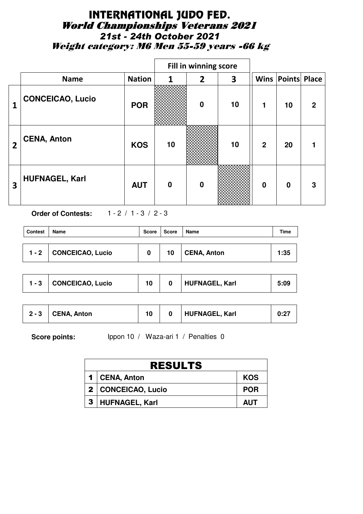## INTERNATIONAL JUDO FED. World Championships Veterans 2021 *21st - 24th October 2021* Weight category: M6 Men 55-59 years -66 kg

|                |                         |               |          | Fill in winning score |    |                |                          |   |
|----------------|-------------------------|---------------|----------|-----------------------|----|----------------|--------------------------|---|
|                | <b>Name</b>             | <b>Nation</b> | 1        | $\overline{2}$        | 3  |                | <b>Wins Points Place</b> |   |
| 1              | <b>CONCEICAO, Lucio</b> | <b>POR</b>    |          | $\bf{0}$              | 10 | 1              | 10                       | 2 |
| $\overline{2}$ | <b>CENA, Anton</b>      | <b>KOS</b>    | 10       |                       | 10 | $\overline{2}$ | 20                       |   |
| 3              | <b>HUFNAGEL, Karl</b>   | <b>AUT</b>    | $\bf{0}$ | $\bf{0}$              |    | $\bf{0}$       | $\bf{0}$                 | 3 |

**Order of Contests:** 1 - 2 / 1 - 3 / 2 - 3

| <b>Contest</b> | <b>Name</b><br>Score   |   | Score | Name        | Time |
|----------------|------------------------|---|-------|-------------|------|
|                | 1 - 2 CONCEICAO, Lucio | 0 | 10    | CENA, Anton | 1:35 |

| <b>CONCEICAO, Lucio</b> |  |  | <b>HUFNAGEL, Karl</b> | 5:09 |
|-------------------------|--|--|-----------------------|------|
|-------------------------|--|--|-----------------------|------|

| $2 - 3$ | CENA, Anton |  |  | HUFNAGEL, Karl | 0:27 |
|---------|-------------|--|--|----------------|------|
|---------|-------------|--|--|----------------|------|

| <b>RESULTS</b>     |            |  |  |  |  |  |  |  |
|--------------------|------------|--|--|--|--|--|--|--|
| 1 CENA, Anton      | <b>KOS</b> |  |  |  |  |  |  |  |
| 2 CONCEICAO, Lucio | <b>POR</b> |  |  |  |  |  |  |  |
| 3   HUFNAGEL, Karl | AUT        |  |  |  |  |  |  |  |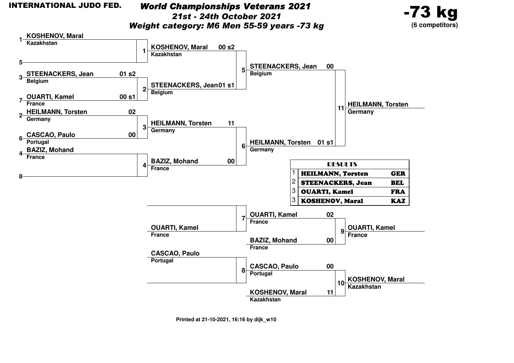*World Championships Veterans 202121st - 24th October 2021*

-73 kg**(6 competitors)**



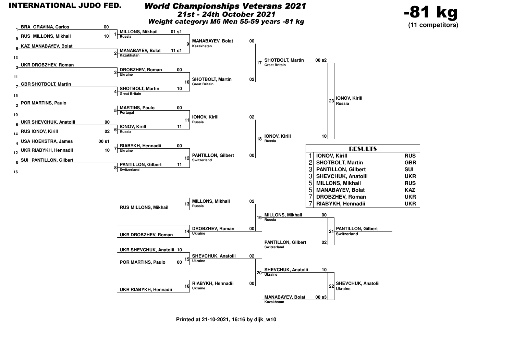

**00**

#### *World Championships Veterans 2021*

*21st - 24th October 2021*

*Weight category: M6 Men 55-59 years -81 kg*



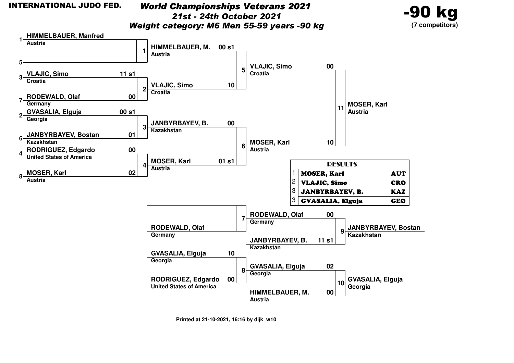#### *World Championships Veterans 2021*

*21st - 24th October 2021*

-90 kg**(7 competitors)**

*Weight category: M6 Men 55-59 years -90 kg*

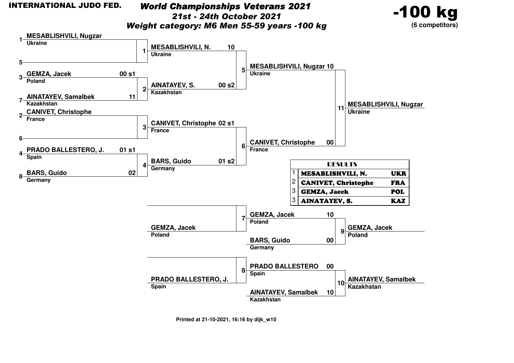**1**

**5**

**7**

**6**

**4**

**8**

 **GEMZA, Jacek3Poland**

**Kazakhstan**

**France**

**Spain**

**BARS, GuidoGermany**

**AINATAYEV, Samalbek**

**CANIVET, Christophe 2**

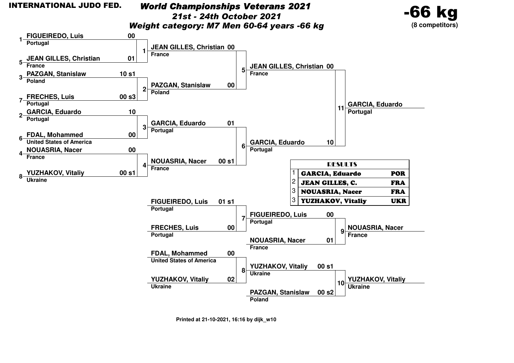#### *World Championships Veterans 202121st - 24th October 2021*





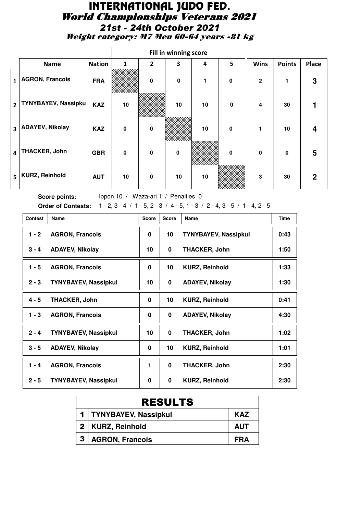# INTERNATIONAL JUDO FED. World Championships Veterans 2021 *21st - 24th October 2021*

Weight category: M7 Men 60-64 years -81 kg

|                         |                            |               |                 |                | Fill in winning score |    |             |              |               |              |
|-------------------------|----------------------------|---------------|-----------------|----------------|-----------------------|----|-------------|--------------|---------------|--------------|
|                         | <b>Name</b>                | <b>Nation</b> | $\mathbf{1}$    | $\overline{2}$ | 3                     | 4  | 5           | <b>Wins</b>  | <b>Points</b> | <b>Place</b> |
| $\mathbf{1}$            | <b>AGRON, Francois</b>     | <b>FRA</b>    |                 | $\bf{0}$       | $\mathbf 0$           | 1  | $\mathbf 0$ | $\mathbf{2}$ | 1             | 3            |
| $\overline{2}$          | <b>TYNYBAYEV, Nassipku</b> | <b>KAZ</b>    | 10              |                | 10                    | 10 | $\mathbf 0$ | 4            | 30            |              |
| $\overline{\mathbf{3}}$ | <b>ADAYEV, Nikolay</b>     | <b>KAZ</b>    | $\mathbf 0$     | 0              |                       | 10 | $\mathbf 0$ | 1            | 10            | 4            |
| 4                       | <b>THACKER, John</b>       | <b>GBR</b>    | $\mathbf{0}$    | 0              | $\mathbf 0$           |    | 0           | $\mathbf{0}$ | $\mathbf{0}$  | 5            |
| 5                       | <b>KURZ, Reinhold</b>      | <b>AUT</b>    | 10 <sup>1</sup> | 0              | 10                    | 10 |             | 3            | 30            | $\mathbf 2$  |

| <b>Contest</b> | Name                        |    | <b>Score</b> | Name                        | <b>Time</b> |
|----------------|-----------------------------|----|--------------|-----------------------------|-------------|
| $1 - 2$        | <b>AGRON, Francois</b>      |    | 10           | <b>TYNYBAYEV, Nassipkul</b> | 0:43        |
| $3 - 4$        | <b>ADAYEV, Nikolay</b>      | 10 | 0            | <b>THACKER, John</b>        | 1:50        |
| $1 - 5$        | <b>AGRON, Francois</b>      | 0  | 10           | <b>KURZ, Reinhold</b>       | 1:33        |
| $2 - 3$        | <b>TYNYBAYEV, Nassipkul</b> | 10 | 0            | <b>ADAYEV, Nikolay</b>      | 1:30        |
| $4 - 5$        | <b>THACKER, John</b>        | 0  | 10           | <b>KURZ, Reinhold</b>       | 0:41        |
| $1 - 3$        | <b>AGRON, Francois</b>      | 0  | 0            | <b>ADAYEV, Nikolay</b>      | 4:30        |
| $2 - 4$        | <b>TYNYBAYEV, Nassipkul</b> | 10 | 0            | <b>THACKER, John</b>        | 1:02        |
| $3 - 5$        | <b>ADAYEV, Nikolay</b>      | 0  | 10           | <b>KURZ, Reinhold</b>       | 1:01        |
| $1 - 4$        | <b>AGRON, Francois</b>      | 1  | $\bf{0}$     | <b>THACKER, John</b>        | 2:30        |
| $2 - 5$        | <b>TYNYBAYEV, Nassipkul</b> | 0  | 0            | <b>KURZ, Reinhold</b>       | 2:30        |

| <b>RESULTS</b>           |            |
|--------------------------|------------|
| 1   TYNYBAYEV, Nassipkul | <b>KAZ</b> |
| 2   KURZ, Reinhold       | <b>AUT</b> |
| <b>AGRON, Francois</b>   | FRA        |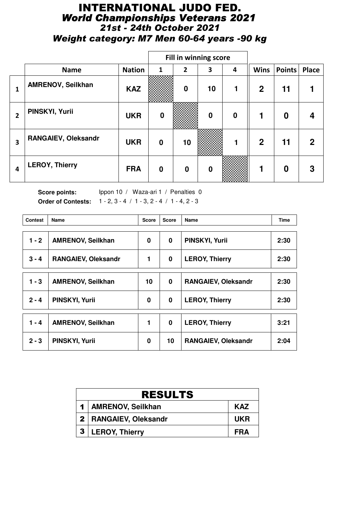## INTERNATIONAL JUDO FED. *World Championships Veterans 2021 21st - 24th October 2021 Weight category: M7 Men 60-64 years -90 kg*

|                |                       |               |                  |                | <b>Fill in winning score</b> |                  |              |          |             |
|----------------|-----------------------|---------------|------------------|----------------|------------------------------|------------------|--------------|----------|-------------|
|                | <b>Name</b>           | <b>Nation</b> | 1                | $\overline{2}$ | 3                            | 4                | <b>Wins</b>  | Points   | Place       |
| 1              | AMRENOV, Seilkhan     | <b>KAZ</b>    |                  | $\mathbf 0$    | 10                           |                  | $\mathbf{2}$ | 11       |             |
| $\overline{2}$ | PINSKYI, Yurii        | <b>UKR</b>    | $\boldsymbol{0}$ |                | $\bf{0}$                     | $\boldsymbol{0}$ |              | $\bf{0}$ | 4           |
| 3              | RANGAIEV, Oleksandr   | <b>UKR</b>    | $\bf{0}$         | 10             |                              |                  | $\mathbf{2}$ | 11       | $\mathbf 2$ |
| 4              | <b>LEROY, Thierry</b> | <b>FRA</b>    | $\bf{0}$         | $\bf{0}$       | $\mathbf 0$                  |                  |              | 0        | 3           |

| <b>Contest</b> | Name<br><b>Score</b>       |          | <b>Score</b> | <b>Name</b>                | <b>Time</b> |
|----------------|----------------------------|----------|--------------|----------------------------|-------------|
| $1 - 2$        | <b>AMRENOV, Seilkhan</b>   | 0        | $\bf{0}$     | <b>PINSKYI, Yurii</b>      | 2:30        |
| $3 - 4$        | <b>RANGAIEV, Oleksandr</b> |          | $\bf{0}$     | <b>LEROY, Thierry</b>      | 2:30        |
| 1 - 3          | <b>AMRENOV, Seilkhan</b>   | 10       | $\bf{0}$     | <b>RANGAIEV, Oleksandr</b> | 2:30        |
| $2 - 4$        | PINSKYI, Yurii             | $\bf{0}$ | $\mathbf 0$  | <b>LEROY, Thierry</b>      | 2:30        |
| $1 - 4$        | AMRENOV, Seilkhan          | 1        | $\mathbf 0$  | <b>LEROY, Thierry</b>      | 3:21        |
| $2 - 3$        | PINSKYI, Yurii             | 0        | 10           | <b>RANGAIEV, Oleksandr</b> | 2:04        |

|                | <b>RESULTS</b>          |            |  |  |  |  |  |  |  |
|----------------|-------------------------|------------|--|--|--|--|--|--|--|
|                | 1   AMRENOV, Seilkhan   | <b>KAZ</b> |  |  |  |  |  |  |  |
|                | 2   RANGAIEV, Oleksandr | <b>UKR</b> |  |  |  |  |  |  |  |
| 3 <sup>1</sup> | <b>LEROY, Thierry</b>   | FRA        |  |  |  |  |  |  |  |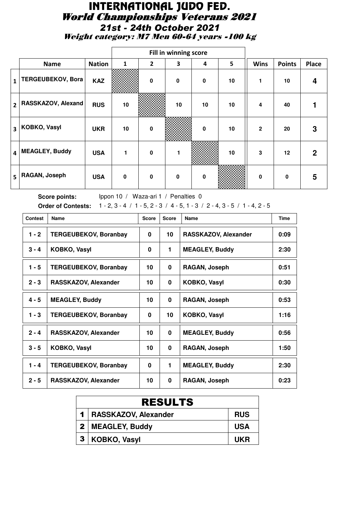# INTERNATIONAL JUDO FED. World Championships Veterans 2021 *21st - 24th October 2021*

Weight category: M7 Men 60-64 years -100 kg

|                         |                          |               |             |                | Fill in winning score |              |    |              |               |              |
|-------------------------|--------------------------|---------------|-------------|----------------|-----------------------|--------------|----|--------------|---------------|--------------|
|                         | <b>Name</b>              | <b>Nation</b> | 1           | $\overline{2}$ | 3                     | 4            | 5  | <b>Wins</b>  | <b>Points</b> | <b>Place</b> |
| $\mathbf{1}$            | <b>TERGEUBEKOV, Bora</b> | <b>KAZ</b>    |             | $\mathbf{0}$   | $\mathbf 0$           | $\mathbf 0$  | 10 | 1            | 10            | 4            |
| $\overline{2}$          | RASSKAZOV, Alexand       | <b>RUS</b>    | 10          |                | 10                    | 10           | 10 | 4            | 40            |              |
| $\overline{\mathbf{3}}$ | <b>KOBKO, Vasyl</b>      | <b>UKR</b>    | 10          | $\mathbf 0$    |                       | 0            | 10 | $\mathbf{2}$ | 20            | 3            |
| 4                       | <b>MEAGLEY, Buddy</b>    | <b>USA</b>    | 1           | 0              | 1                     |              | 10 | 3            | 12            | $\mathbf{2}$ |
| 5                       | RAGAN, Joseph            | <b>USA</b>    | $\mathbf 0$ | $\mathbf{0}$   | $\mathbf{0}$          | $\mathbf{0}$ |    | 0            | 0             | 5            |

| <b>Contest</b> | <b>Name</b>                  | <b>Score</b> | <b>Score</b> | Name                  | <b>Time</b> |
|----------------|------------------------------|--------------|--------------|-----------------------|-------------|
| $1 - 2$        | <b>TERGEUBEKOV, Boranbay</b> | 0            | 10           | RASSKAZOV, Alexander  | 0:09        |
| $3 - 4$        | KOBKO, Vasyl                 | 0            | 1.           | <b>MEAGLEY, Buddy</b> | 2:30        |
| $1 - 5$        | <b>TERGEUBEKOV, Boranbay</b> | 10           | 0            | RAGAN, Joseph         | 0:51        |
| $2 - 3$        | RASSKAZOV, Alexander         | 10           | 0            | <b>KOBKO, Vasyl</b>   | 0:30        |
| $4 - 5$        | <b>MEAGLEY, Buddy</b>        | 10           | 0            | RAGAN, Joseph         | 0:53        |
| $1 - 3$        | <b>TERGEUBEKOV, Boranbay</b> | 0            | 10           | <b>KOBKO, Vasyl</b>   | 1:16        |
| $2 - 4$        | RASSKAZOV, Alexander         | 10           | 0            | <b>MEAGLEY, Buddy</b> | 0:56        |
| $3 - 5$        | KOBKO, Vasyl                 | 10           | 0            | RAGAN, Joseph         | 1:50        |
| $1 - 4$        | <b>TERGEUBEKOV, Boranbay</b> | 0            | 1.           | <b>MEAGLEY, Buddy</b> | 2:30        |
| $2 - 5$        | RASSKAZOV, Alexander         | 10           | 0            | RAGAN, Joseph         | 0:23        |

| <b>RESULTS</b>           |            |  |  |  |  |  |  |
|--------------------------|------------|--|--|--|--|--|--|
| 1   RASSKAZOV, Alexander | <b>RUS</b> |  |  |  |  |  |  |
| 2   MEAGLEY, Buddy       | <b>USA</b> |  |  |  |  |  |  |
| KOBKO, Vasyl             | UKR        |  |  |  |  |  |  |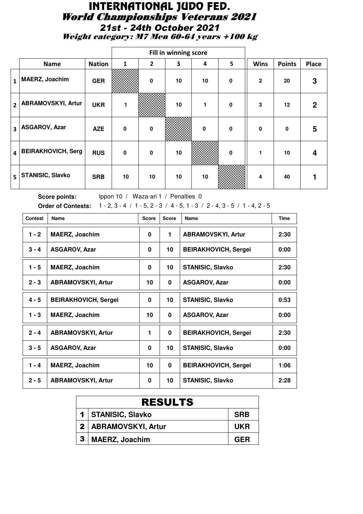#### INTERNATIONAL JUDO FED. World Championships Veterans 2021 *21st - 24th October 2021* Weight category: M7 Men 60-64 years +100 kg

|                         |                           |               |              |                | Fill in winning score |    |             |                |               |              |
|-------------------------|---------------------------|---------------|--------------|----------------|-----------------------|----|-------------|----------------|---------------|--------------|
|                         | <b>Name</b>               | <b>Nation</b> | $\mathbf{1}$ | $\overline{2}$ | 3                     | 4  | 5           | <b>Wins</b>    | <b>Points</b> | <b>Place</b> |
| $1\vert$                | <b>MAERZ, Joachim</b>     | <b>GER</b>    |              | 0              | 10                    | 10 | $\mathbf 0$ | $\overline{2}$ | 20            | 3            |
| $2^{\circ}$             | <b>ABRAMOVSKYI, Artur</b> | <b>UKR</b>    | 1            |                | 10                    |    | $\mathbf 0$ | 3              | 12            | $\mathbf{2}$ |
| $\overline{\mathbf{3}}$ | <b>ASGAROV, Azar</b>      | <b>AZE</b>    | $\mathbf 0$  | $\mathbf 0$    |                       | 0  | $\mathbf 0$ | $\mathbf 0$    | 0             | 5            |
| $\overline{4}$          | <b>BEIRAKHOVICH, Serg</b> | <b>RUS</b>    | $\mathbf 0$  | 0              | 10                    |    | 0           |                | 10            | 4            |
| 5                       | <b>STANISIC, Slavko</b>   | <b>SRB</b>    | 10           | 10             | 10                    | 10 |             | 4              | 40            |              |

| <b>Contest</b> | Name                        | <b>Score</b> | <b>Score</b> | <b>Name</b>                 | <b>Time</b> |
|----------------|-----------------------------|--------------|--------------|-----------------------------|-------------|
| $1 - 2$        | <b>MAERZ, Joachim</b>       | 0            | 1.           | <b>ABRAMOVSKYI, Artur</b>   | 2:30        |
| $3 - 4$        | <b>ASGAROV, Azar</b>        | 0            | 10           | <b>BEIRAKHOVICH, Sergei</b> | 0:00        |
| $1 - 5$        | <b>MAERZ, Joachim</b>       | 0            | 10           | <b>STANISIC, Slavko</b>     | 2:30        |
| $2 - 3$        | <b>ABRAMOVSKYI, Artur</b>   | 10           | 0            | <b>ASGAROV, Azar</b>        | 0:00        |
| $4 - 5$        | <b>BEIRAKHOVICH, Sergei</b> | 0            | 10           | <b>STANISIC, Slavko</b>     | 0:53        |
| $1 - 3$        | <b>MAERZ, Joachim</b>       | 10           | 0            | <b>ASGAROV, Azar</b>        | 0:00        |
| $2 - 4$        | <b>ABRAMOVSKYI, Artur</b>   | $\mathbf 1$  | 0            | <b>BEIRAKHOVICH, Sergei</b> | 2:30        |
| $3 - 5$        | <b>ASGAROV, Azar</b>        | 0            | 10           | <b>STANISIC, Slavko</b>     | 0:00        |
| $1 - 4$        | <b>MAERZ, Joachim</b>       | 10           | $\bf{0}$     | <b>BEIRAKHOVICH, Sergei</b> | 1:06        |
| $2 - 5$        | <b>ABRAMOVSKYI, Artur</b>   | 0            | 10           | <b>STANISIC, Slavko</b>     | 2:28        |

|   | <b>RESULTS</b>         |            |  |  |  |  |  |  |
|---|------------------------|------------|--|--|--|--|--|--|
|   | 1   STANISIC, Slavko   | <b>SRB</b> |  |  |  |  |  |  |
|   | 2   ABRAMOVSKYI, Artur | <b>UKR</b> |  |  |  |  |  |  |
| 3 | <b>MAERZ, Joachim</b>  | GFR        |  |  |  |  |  |  |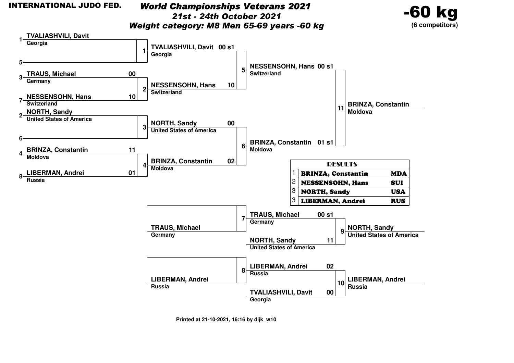#### INTERNATIONAL JUDO FED.

 *World Championships Veterans 202121st - 24th October 2021Weight category: M8 Men 65-69 years -60 kg*



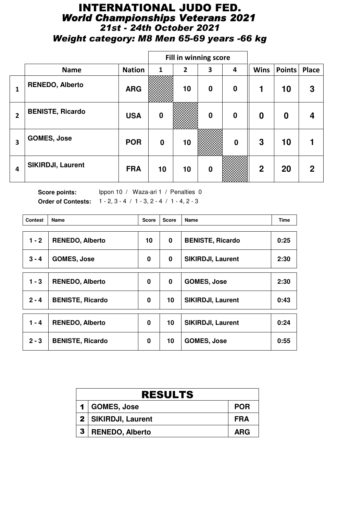## INTERNATIONAL JUDO FED. *World Championships Veterans 2021 21st - 24th October 2021 Weight category: M8 Men 65-69 years -66 kg*

|                |                          |               |                  |                | <b>Fill in winning score</b> |                  |             |          |              |
|----------------|--------------------------|---------------|------------------|----------------|------------------------------|------------------|-------------|----------|--------------|
|                | <b>Name</b>              | <b>Nation</b> | 1                | $\overline{2}$ | 3                            | 4                | <b>Wins</b> | Points   | <b>Place</b> |
| 1              | <b>RENEDO, Alberto</b>   | <b>ARG</b>    |                  | 10             | $\bf{0}$                     | $\bf{0}$         | 1           | 10       | 3            |
| $\overline{2}$ | <b>BENISTE, Ricardo</b>  | <b>USA</b>    | $\bf{0}$         |                | $\mathbf 0$                  | $\mathbf 0$      | $\bf{0}$    | $\bf{0}$ | 4            |
| 3              | <b>GOMES, Jose</b>       | <b>POR</b>    | $\boldsymbol{0}$ | 10             |                              | $\boldsymbol{0}$ | 3           | 10       |              |
| 4              | <b>SIKIRDJI, Laurent</b> | <b>FRA</b>    | 10               | 10             | $\boldsymbol{0}$             |                  | $\mathbf 2$ | 20       | $\mathbf 2$  |

| <b>Contest</b> | <b>Name</b>             | <b>Score</b> | <b>Score</b> | Name                     | <b>Time</b> |
|----------------|-------------------------|--------------|--------------|--------------------------|-------------|
| $1 - 2$        | <b>RENEDO, Alberto</b>  | 10           | $\bf{0}$     | <b>BENISTE, Ricardo</b>  | 0:25        |
| $3 - 4$        | <b>GOMES, Jose</b>      | 0            | $\bf{0}$     | <b>SIKIRDJI, Laurent</b> | 2:30        |
| $1 - 3$        | <b>RENEDO, Alberto</b>  | 0            | $\mathbf 0$  | <b>GOMES, Jose</b>       | 2:30        |
| $2 - 4$        | <b>BENISTE, Ricardo</b> | 0            | 10           | <b>SIKIRDJI, Laurent</b> | 0:43        |
|                |                         |              |              |                          |             |
| $1 - 4$        | <b>RENEDO, Alberto</b>  | $\bf{0}$     | 10           | SIKIRDJI, Laurent        | 0:24        |
| $2 - 3$        | <b>BENISTE, Ricardo</b> | 0            | 10           | <b>GOMES, Jose</b>       | 0:55        |

|              | <b>RESULTS</b>        |            |  |  |  |  |  |  |
|--------------|-----------------------|------------|--|--|--|--|--|--|
|              | 1 GOMES, Jose         | <b>POR</b> |  |  |  |  |  |  |
|              | 2   SIKIRDJI, Laurent | FRA        |  |  |  |  |  |  |
| $\mathbf{3}$ | RENEDO, Alberto       | <b>ARG</b> |  |  |  |  |  |  |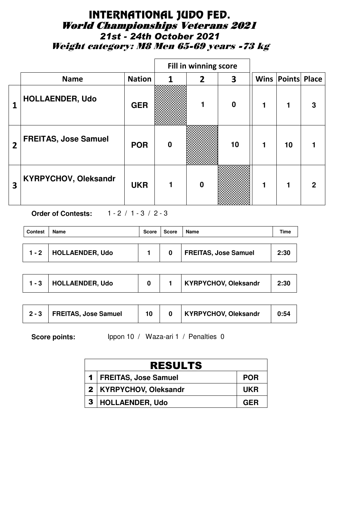## INTERNATIONAL JUDO FED. World Championships Veterans 2021 *21st - 24th October 2021* Weight category: M8 Men 65-69 years -73 kg

|                |                             |               |                  | Fill in winning score |                  |   |                          |   |
|----------------|-----------------------------|---------------|------------------|-----------------------|------------------|---|--------------------------|---|
|                | <b>Name</b>                 | <b>Nation</b> | 1                | $\mathbf{2}$          | 3                |   | <b>Wins Points Place</b> |   |
| 1              | <b>HOLLAENDER, Udo</b>      | <b>GER</b>    |                  |                       | $\boldsymbol{0}$ | 1 |                          | 3 |
| $\overline{2}$ | <b>FREITAS, Jose Samuel</b> | <b>POR</b>    | $\boldsymbol{0}$ |                       | 10               | 1 | 10                       |   |
| 3              | <b>KYRPYCHOV, Oleksandr</b> | <b>UKR</b>    |                  | $\bf{0}$              |                  |   |                          | 2 |

**Order of Contests:** 1 - 2 / 1 - 3 / 2 - 3

| Contest | Name            | Score | Score | <b>Name</b>                 | Time |
|---------|-----------------|-------|-------|-----------------------------|------|
| $1 - 2$ | HOLLAENDER, Udo |       | 0     | <b>FREITAS, Jose Samuel</b> | 2:30 |

|  | <b>HOLLAENDER, Udo</b> |  |  | <b>KYRPYCHOV, Oleksandr</b> | 2:30 |
|--|------------------------|--|--|-----------------------------|------|
|--|------------------------|--|--|-----------------------------|------|

| <b>KYRPYCHOV, Oleksandr</b><br><b>FREITAS, Jose Samuel</b><br>$2 - 3$ | 0:54 |
|-----------------------------------------------------------------------|------|
|-----------------------------------------------------------------------|------|

| <b>RESULTS</b>           |            |  |  |  |  |  |
|--------------------------|------------|--|--|--|--|--|
| 1   FREITAS, Jose Samuel | <b>POR</b> |  |  |  |  |  |
| 2   KYRPYCHOV, Oleksandr | <b>UKR</b> |  |  |  |  |  |
| 3   HOLLAENDER, Udo      | <b>GER</b> |  |  |  |  |  |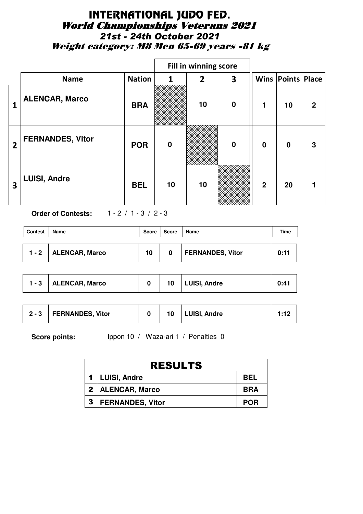## INTERNATIONAL JUDO FED. World Championships Veterans 2021 *21st - 24th October 2021* Weight category: M8 Men 65-69 years -81 kg

|                         |                         |               |          | Fill in winning score |                  |                |                          |              |
|-------------------------|-------------------------|---------------|----------|-----------------------|------------------|----------------|--------------------------|--------------|
|                         | <b>Name</b>             | <b>Nation</b> | 1        | $\overline{2}$        | 3                |                | <b>Wins Points Place</b> |              |
| 1                       | <b>ALENCAR, Marco</b>   | <b>BRA</b>    |          | 10                    | $\boldsymbol{0}$ | 1              | 10                       | $\mathbf{2}$ |
| $\overline{2}$          | <b>FERNANDES, Vitor</b> | <b>POR</b>    | $\bf{0}$ |                       | $\mathbf 0$      | $\mathbf 0$    | $\mathbf 0$              | 3            |
| $\overline{\mathbf{3}}$ | <b>LUISI, Andre</b>     | <b>BEL</b>    | 10       | 10                    |                  | $\overline{2}$ | 20                       |              |

**Order of Contests:** 1 - 2 / 1 - 3 / 2 - 3

| <b>Contest</b> | Name                     | Score | Score | <b>Name</b>             | Time |
|----------------|--------------------------|-------|-------|-------------------------|------|
|                | $1 - 2$   ALENCAR, Marco | 10    | 0     | <b>FERNANDES, Vitor</b> | 0:11 |

| $1 - 3$   . | <b>ALENCAR, Marco</b> |  | 10 | <b>LUISI, Andre</b> | 0:41 |
|-------------|-----------------------|--|----|---------------------|------|
|-------------|-----------------------|--|----|---------------------|------|

| $2 - 3$ | <b>FERNANDES, Vitor</b> |  | <b>LUISI, Andre</b> |  |
|---------|-------------------------|--|---------------------|--|
|         |                         |  |                     |  |

| <b>RESULTS</b>       |            |  |  |  |  |  |
|----------------------|------------|--|--|--|--|--|
| 1   LUISI, Andre     | <b>BEL</b> |  |  |  |  |  |
| 2   ALENCAR, Marco   | <b>BRA</b> |  |  |  |  |  |
| 3   FERNANDES, Vitor | <b>POR</b> |  |  |  |  |  |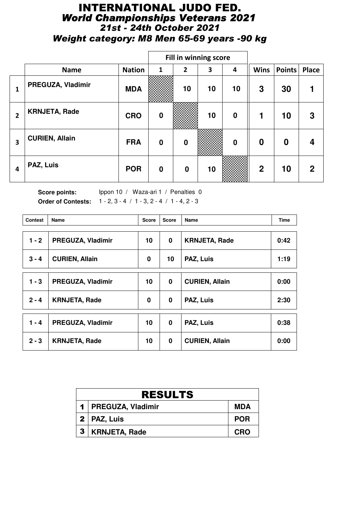## INTERNATIONAL JUDO FED. *World Championships Veterans 2021 21st - 24th October 2021 Weight category: M8 Men 65-69 years -90 kg*

|                |                       |               | Fill in winning score |                  |    |                  |                  |                  |              |
|----------------|-----------------------|---------------|-----------------------|------------------|----|------------------|------------------|------------------|--------------|
|                | <b>Name</b>           | <b>Nation</b> | 1                     | $\overline{2}$   | 3  | 4                | <b>Wins</b>      | Points           | <b>Place</b> |
| 1              | PREGUZA, Vladimir     | <b>MDA</b>    |                       | 10               | 10 | 10               | 3                | 30               |              |
| $\overline{2}$ | <b>KRNJETA, Rade</b>  | <b>CRO</b>    | $\bf{0}$              |                  | 10 | $\boldsymbol{0}$ | 1                | 10               | 3            |
| 3              | <b>CURIEN, Allain</b> | <b>FRA</b>    | $\bf{0}$              | $\mathbf 0$      |    | $\bf{0}$         | $\boldsymbol{0}$ | $\boldsymbol{0}$ | 4            |
| 4              | PAZ, Luis             | <b>POR</b>    | $\bf{0}$              | $\boldsymbol{0}$ | 10 |                  | $\overline{2}$   | 10               | $\mathbf{2}$ |

| <b>Contest</b> | <b>Name</b>           | <b>Score</b> | <b>Score</b> | Name                  | <b>Time</b> |
|----------------|-----------------------|--------------|--------------|-----------------------|-------------|
| $1 - 2$        | PREGUZA, Vladimir     | 10           | 0            | <b>KRNJETA, Rade</b>  | 0:42        |
| $3 - 4$        | <b>CURIEN, Allain</b> | 0            | 10           | PAZ, Luis             | 1:19        |
| $1 - 3$        | PREGUZA, Vladimir     | 10           | $\bf{0}$     | <b>CURIEN, Allain</b> | 0:00        |
| $2 - 4$        | <b>KRNJETA, Rade</b>  | 0            | $\bf{0}$     | PAZ, Luis             | 2:30        |
| $1 - 4$        | PREGUZA, Vladimir     | 10           | $\mathbf 0$  | PAZ, Luis             | 0:38        |
| $2 - 3$        | <b>KRNJETA, Rade</b>  | 10           | 0            | <b>CURIEN, Allain</b> | 0:00        |

|                  | <b>RESULTS</b>        |            |  |  |  |  |  |
|------------------|-----------------------|------------|--|--|--|--|--|
|                  | 1   PREGUZA, Vladimir | <b>MDA</b> |  |  |  |  |  |
|                  | $2 \mid$ PAZ, Luis    | <b>POR</b> |  |  |  |  |  |
| $\boldsymbol{3}$ | <b>KRNJETA, Rade</b>  | <b>CRO</b> |  |  |  |  |  |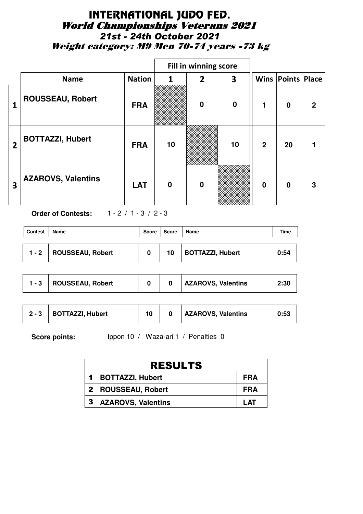## INTERNATIONAL JUDO FED. World Championships Veterans 2021 *21st - 24th October 2021* Weight category: M9 Men 70-74 years -73 kg

|                |                           |               |          | Fill in winning score |          |                |                          |   |
|----------------|---------------------------|---------------|----------|-----------------------|----------|----------------|--------------------------|---|
|                | <b>Name</b>               | <b>Nation</b> | 1        | $\overline{2}$        | 3        |                | <b>Wins Points Place</b> |   |
| 1              | <b>ROUSSEAU, Robert</b>   | <b>FRA</b>    |          | $\bf{0}$              | $\bf{0}$ | 1              | $\mathbf 0$              | 2 |
| $\overline{2}$ | <b>BOTTAZZI, Hubert</b>   | <b>FRA</b>    | 10       |                       | 10       | $\overline{2}$ | 20                       |   |
| 3              | <b>AZAROVS, Valentins</b> | <b>LAT</b>    | $\bf{0}$ | $\bf{0}$              |          | $\bf{0}$       | $\mathbf{0}$             | 3 |

**Order of Contests:** 1 - 2 / 1 - 3 / 2 - 3

| <b>Contest</b> | Name                     | <b>Score</b> | <b>Score</b> | <b>Name</b>             | Time |
|----------------|--------------------------|--------------|--------------|-------------------------|------|
|                | 1 - 2   ROUSSEAU, Robert | 0            | 10           | <b>BOTTAZZI, Hubert</b> | 0:54 |

| <b>AZAROVS, Valentins</b><br>ROUSSEAU, Robert | 2:30 |
|-----------------------------------------------|------|
|-----------------------------------------------|------|

| <b>AZAROVS, Valentins</b><br><b>BOTTAZZI, Hubert</b><br>$2 - 3$ | 0:53 |
|-----------------------------------------------------------------|------|
|-----------------------------------------------------------------|------|

|                  | <b>RESULTS</b>            |            |  |  |  |  |
|------------------|---------------------------|------------|--|--|--|--|
|                  | 1   BOTTAZZI, Hubert      | FRA        |  |  |  |  |
|                  | 2   ROUSSEAU, Robert      | FRA        |  |  |  |  |
| $\boldsymbol{3}$ | <b>AZAROVS, Valentins</b> | <b>LAT</b> |  |  |  |  |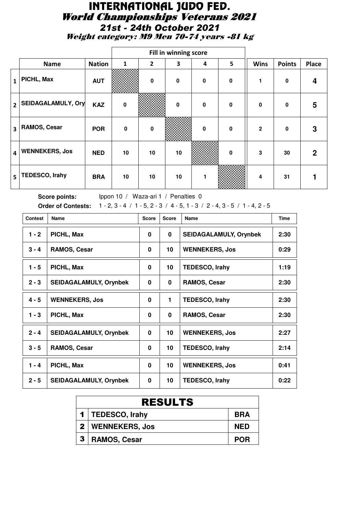# INTERNATIONAL JUDO FED. World Championships Veterans 2021 *21st - 24th October 2021*

Weight category: M9 Men 70-74 years -81 kg

|                         |                       |               | Fill in winning score |                |              |             |             |              |               |              |
|-------------------------|-----------------------|---------------|-----------------------|----------------|--------------|-------------|-------------|--------------|---------------|--------------|
|                         | <b>Name</b>           | <b>Nation</b> | 1                     | $\overline{2}$ | 3            | 4           | 5           | <b>Wins</b>  | <b>Points</b> | <b>Place</b> |
| 1                       | PICHL, Max            | <b>AUT</b>    |                       | $\mathbf{0}$   | $\mathbf 0$  | $\mathbf 0$ | $\mathbf 0$ |              | $\mathbf 0$   | 4            |
| $\overline{2}$          | SEIDAGALAMULY, Ory    | <b>KAZ</b>    | $\mathbf 0$           |                | $\mathbf{0}$ | $\mathbf 0$ | $\mathbf 0$ | $\mathbf{0}$ | 0             | 5            |
| $\overline{\mathbf{3}}$ | <b>RAMOS, Cesar</b>   | <b>POR</b>    | $\mathbf 0$           | $\mathbf 0$    |              | 0           | $\mathbf 0$ | $\mathbf{2}$ | 0             | 3            |
| 4                       | <b>WENNEKERS, Jos</b> | <b>NED</b>    | 10                    | 10             | 10           |             | 0           | 3            | 30            | $\mathbf{2}$ |
| 5                       | <b>TEDESCO, Irahy</b> | <b>BRA</b>    | 10 <sup>1</sup>       | 10             | 10           |             |             | 4            | 31            |              |

| <b>Contest</b> | Name                          | <b>Score</b> | <b>Score</b> | Name                          | <b>Time</b> |
|----------------|-------------------------------|--------------|--------------|-------------------------------|-------------|
| $1 - 2$        | PICHL, Max                    | $\bf{0}$     | 0            | <b>SEIDAGALAMULY, Orynbek</b> | 2:30        |
| $3 - 4$        | RAMOS, Cesar                  | 0            | 10           | <b>WENNEKERS, Jos</b>         | 0:29        |
| $1 - 5$        | PICHL, Max                    | 0            | 10           | <b>TEDESCO, Irahy</b>         | 1:19        |
| $2 - 3$        | <b>SEIDAGALAMULY, Orynbek</b> | 0            | 0            | <b>RAMOS, Cesar</b>           | 2:30        |
| $4 - 5$        | <b>WENNEKERS, Jos</b>         | $\bf{0}$     | 1.           | <b>TEDESCO, Irahy</b>         | 2:30        |
| $1 - 3$        | PICHL, Max                    | 0            | 0            | <b>RAMOS, Cesar</b>           | 2:30        |
| $2 - 4$        | <b>SEIDAGALAMULY, Orynbek</b> | $\bf{0}$     | 10           | <b>WENNEKERS, Jos</b>         | 2:27        |
| $3 - 5$        | RAMOS, Cesar                  | 0            | 10           | <b>TEDESCO, Irahy</b>         | 2:14        |
| $1 - 4$        | PICHL, Max                    | $\bf{0}$     | 10           | <b>WENNEKERS, Jos</b>         | 0:41        |
| $2 - 5$        | <b>SEIDAGALAMULY, Orynbek</b> | $\bf{0}$     | 10           | <b>TEDESCO, Irahy</b>         | 0:22        |

| <b>RESULTS</b>     |            |  |  |  |  |
|--------------------|------------|--|--|--|--|
| 1   TEDESCO, Irahy | <b>BRA</b> |  |  |  |  |
| 2   WENNEKERS, Jos | <b>NED</b> |  |  |  |  |
| 3   RAMOS, Cesar   | <b>POR</b> |  |  |  |  |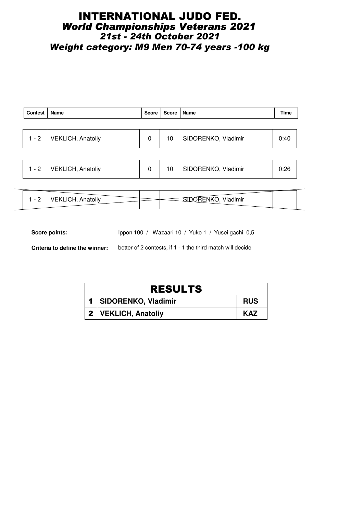#### INTERNATIONAL JUDO FED. *World Championships Veterans 2021 21st - 24th October 2021 Weight category: M9 Men 70-74 years -100 kg*

| <b>Contest</b> | Name                     | Score | Score   Name |                     | Time |
|----------------|--------------------------|-------|--------------|---------------------|------|
|                |                          |       |              |                     |      |
| $1 - 2$        | <b>VEKLICH, Anatoliy</b> | 0     | 10           | SIDORENKO, Vladimir | 0:40 |
|                |                          |       |              |                     |      |

|  | - 2 | <b>VEKLICH, Anatoliy</b> |  |  | SIDORENKO, Vladimir |  |
|--|-----|--------------------------|--|--|---------------------|--|
|--|-----|--------------------------|--|--|---------------------|--|

| $\overline{\phantom{0}}$ | $\mathbf{M}$<br>dimir |
|--------------------------|-----------------------|
| -<br>.                   |                       |
|                          |                       |

Score points: Ippon 100 / Wazaari 10 / Yuko 1 / Yusei gachi 0,5

**Criteria to define the winner:** better of 2 contests, if 1 - 1 the third match will decide

| <b>RESULTS</b>          |            |  |  |  |  |  |
|-------------------------|------------|--|--|--|--|--|
| 1   SIDORENKO, Vladimir | <b>RUS</b> |  |  |  |  |  |
| 2   VEKLICH, Anatoliy   | <b>KAZ</b> |  |  |  |  |  |